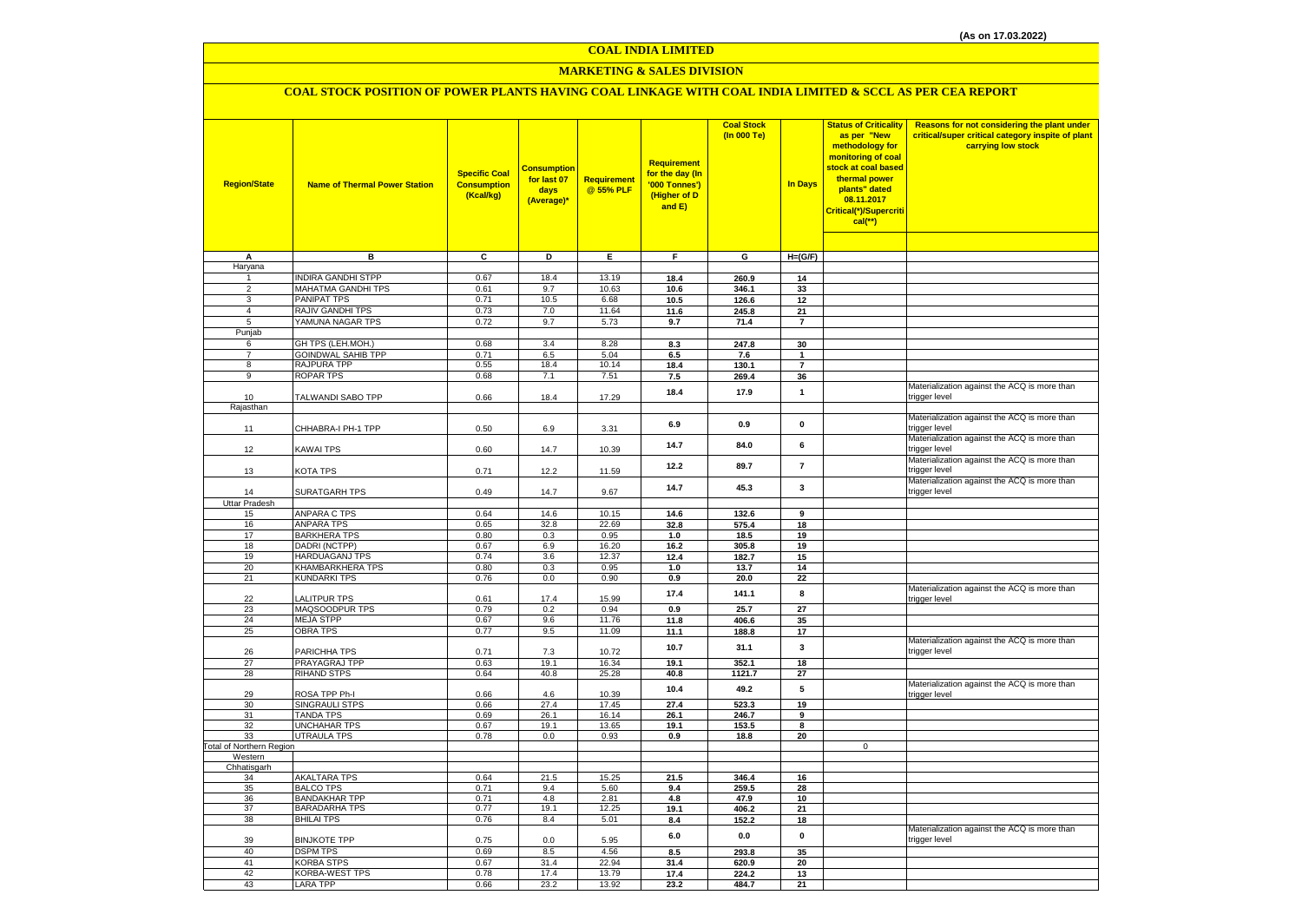#### **COAL INDIA LIMITED**

# **MARKETING & SALES DIVISION**

# **COAL STOCK POSITION OF POWER PLANTS HAVING COAL LINKAGE WITH COAL INDIA LIMITED & SCCL AS PER CEA REPORT**

| <b>Region/State</b>            | <b>Name of Thermal Power Station</b>         | <b>Specific Coal</b><br><b>Consumption</b><br>(Kcal/kg) | <b>Consumption</b><br>for last 07<br>days<br>(Average)* | <b>Requirement</b><br>@ 55% PLF | <b>Requirement</b><br>for the day (In<br>'000 Tonnes')<br>(Higher of D<br>and E) | <b>Coal Stock</b><br>(In 000 Te) | <b>In Days</b> | <b>Status of Criticality</b><br>as per "New<br>methodology for<br>monitoring of coal<br>stock at coal based<br>thermal power<br>plants" dated<br>08.11.2017<br>Critical(*)/Supercriti<br>$cal$ (**) | Reasons for not considering the plant under<br>critical/super critical category inspite of plant<br>carrying low stock |
|--------------------------------|----------------------------------------------|---------------------------------------------------------|---------------------------------------------------------|---------------------------------|----------------------------------------------------------------------------------|----------------------------------|----------------|-----------------------------------------------------------------------------------------------------------------------------------------------------------------------------------------------------|------------------------------------------------------------------------------------------------------------------------|
| A                              | в                                            | ट                                                       | Þ                                                       | Έ                               | $\overline{F}$                                                                   | G                                | $H=(G/F)$      |                                                                                                                                                                                                     |                                                                                                                        |
| Haryana                        |                                              |                                                         |                                                         |                                 |                                                                                  |                                  |                |                                                                                                                                                                                                     |                                                                                                                        |
| $\mathbf{1}$                   | <b>INDIRA GANDHI STPP</b>                    | 0.67                                                    | 18.4                                                    | 13.19                           | 18.4                                                                             | 260.9                            | 14             |                                                                                                                                                                                                     |                                                                                                                        |
| $\overline{2}$                 | <b>MAHATMA GANDHI TPS</b>                    | 0.61                                                    | 9.7                                                     | 10.63                           | 10.6                                                                             | 346.1                            | 33             |                                                                                                                                                                                                     |                                                                                                                        |
| 3                              | <b>PANIPAT TPS</b>                           | 0.71                                                    | 10.5                                                    | 6.68                            | 10.5                                                                             | 126.6                            | 12             |                                                                                                                                                                                                     |                                                                                                                        |
| $\overline{4}$                 | <b>RAJIV GANDHI TPS</b>                      | 0.73                                                    | 7.0                                                     | 11.64                           | 11.6                                                                             | 245.8                            | 21             |                                                                                                                                                                                                     |                                                                                                                        |
| 5                              | YAMUNA NAGAR TPS                             | 0.72                                                    | 9.7                                                     | 5.73                            | 9.7                                                                              | 71.4                             | $\overline{7}$ |                                                                                                                                                                                                     |                                                                                                                        |
| Punjab<br>6                    | GH TPS (LEH.MOH.)                            | 0.68                                                    | 3.4                                                     | 8.28                            | 8.3                                                                              | 247.8                            | 30             |                                                                                                                                                                                                     |                                                                                                                        |
| $\overline{7}$                 | <b>GOINDWAL SAHIB TPP</b>                    | 0.71                                                    | 6.5                                                     | 5.04                            | 6.5                                                                              | 7.6                              | 1              |                                                                                                                                                                                                     |                                                                                                                        |
| 8                              | RAJPURA TPP                                  | 0.55                                                    | 18.4                                                    | 10.14                           | 18.4                                                                             | 130.1                            | $\overline{7}$ |                                                                                                                                                                                                     |                                                                                                                        |
| 9                              | <b>ROPAR TPS</b>                             | 0.68                                                    | 7.1                                                     | 7.51                            | 7.5                                                                              | 269.4                            | 36             |                                                                                                                                                                                                     |                                                                                                                        |
| 10                             | TALWANDI SABO TPP                            | 0.66                                                    | 18.4                                                    | 17.29                           | 18.4                                                                             | 17.9                             | $\mathbf{1}$   |                                                                                                                                                                                                     | Materialization against the ACQ is more than<br>trigger level                                                          |
| Rajasthan                      |                                              |                                                         |                                                         |                                 |                                                                                  |                                  |                |                                                                                                                                                                                                     |                                                                                                                        |
| 11                             | CHHABRA-I PH-1 TPP                           | 0.50                                                    | 6.9                                                     | 3.31                            | 6.9                                                                              | 0.9                              | $\pmb{0}$      |                                                                                                                                                                                                     | Materialization against the ACQ is more than<br>trigger level                                                          |
| 12                             | <b>KAWAI TPS</b>                             | 0.60                                                    | 14.7                                                    | 10.39                           | 14.7                                                                             | 84.0                             | 6              |                                                                                                                                                                                                     | Materialization against the ACQ is more than<br>trigger level                                                          |
| 13                             | KOTA TPS                                     | 0.71                                                    | 12.2                                                    | 11.59                           | 12.2                                                                             | 89.7                             | $\overline{7}$ |                                                                                                                                                                                                     | Materialization against the ACQ is more than<br>trigger level                                                          |
| 14                             | SURATGARH TPS                                | 0.49                                                    | 14.7                                                    | 9.67                            | 14.7                                                                             | 45.3                             | $\mathbf 3$    |                                                                                                                                                                                                     | Materialization against the ACQ is more than<br>trigger level                                                          |
| <b>Uttar Pradesh</b>           | <b>ANPARA C TPS</b>                          | 0.64                                                    |                                                         |                                 |                                                                                  |                                  |                |                                                                                                                                                                                                     |                                                                                                                        |
| 15<br>16                       | <b>ANPARA TPS</b>                            | 0.65                                                    | 14.6<br>32.8                                            | 10.15<br>22.69                  | 14.6<br>32.8                                                                     | 132.6<br>575.4                   | 9<br>18        |                                                                                                                                                                                                     |                                                                                                                        |
| 17                             | <b>BARKHERA TPS</b>                          | 0.80                                                    | 0.3                                                     | 0.95                            | 1.0                                                                              | 18.5                             | 19             |                                                                                                                                                                                                     |                                                                                                                        |
| 18                             | DADRI (NCTPP)                                | 0.67                                                    | 6.9                                                     | 16.20                           | 16.2                                                                             | 305.8                            | 19             |                                                                                                                                                                                                     |                                                                                                                        |
| 19                             | HARDUAGANJ TPS                               | 0.74                                                    | 3.6                                                     | 12.37                           | 12.4                                                                             | 182.7                            | 15             |                                                                                                                                                                                                     |                                                                                                                        |
| 20                             | KHAMBARKHERA TPS                             | 0.80                                                    | 0.3                                                     | 0.95                            | 1.0                                                                              | 13.7                             | 14             |                                                                                                                                                                                                     |                                                                                                                        |
| 21                             | <b>KUNDARKI TPS</b>                          | 0.76                                                    | 0.0                                                     | 0.90                            | 0.9                                                                              | 20.0                             | 22             |                                                                                                                                                                                                     |                                                                                                                        |
| 22                             | <b>LALITPUR TPS</b>                          | 0.61                                                    | 17.4                                                    | 15.99                           | 17.4                                                                             | 141.1                            | 8              |                                                                                                                                                                                                     | Materialization against the ACQ is more than<br>trigger level                                                          |
| 23                             | MAQSOODPUR TPS                               | 0.79                                                    | 0.2                                                     | 0.94                            | 0.9                                                                              | 25.7                             | 27             |                                                                                                                                                                                                     |                                                                                                                        |
| 24<br>25                       | <b>MEJA STPP</b><br><b>OBRA TPS</b>          | 0.67<br>0.77                                            | 9.6<br>9.5                                              | 11.76<br>11.09                  | 11.8<br>11.1                                                                     | 406.6                            | 35             |                                                                                                                                                                                                     |                                                                                                                        |
|                                |                                              |                                                         |                                                         |                                 |                                                                                  | 188.8                            | 17             |                                                                                                                                                                                                     | Materialization against the ACQ is more than                                                                           |
| 26<br>27                       | PARICHHA TPS<br>PRAYAGRAJ TPP                | 0.71<br>0.63                                            | 7.3<br>19.1                                             | 10.72<br>16.34                  | 10.7<br>19.1                                                                     | 31.1<br>352.1                    | 3<br>18        |                                                                                                                                                                                                     | trigger level                                                                                                          |
| 28                             | <b>RIHAND STPS</b>                           | 0.64                                                    | 40.8                                                    | 25.28                           | 40.8                                                                             | 1121.7                           | 27             |                                                                                                                                                                                                     |                                                                                                                        |
| 29                             | ROSA TPP Ph-I                                | 0.66                                                    | 4.6                                                     | 10.39                           | 10.4                                                                             | 49.2                             | 5              |                                                                                                                                                                                                     | Materialization against the ACQ is more than<br>trigger level                                                          |
| 30                             | SINGRAULI STPS                               | 0.66                                                    | 27.4                                                    | 17.45                           | 27.4                                                                             | 523.3                            | 19             |                                                                                                                                                                                                     |                                                                                                                        |
| 31                             | <b>TANDA TPS</b>                             | 0.69                                                    | 26.1                                                    | 16.14                           | 26.1                                                                             | 246.7                            | 9              |                                                                                                                                                                                                     |                                                                                                                        |
| 32                             | <b>UNCHAHAR TPS</b>                          | 0.67                                                    | 19.1                                                    | 13.65                           | 19.1                                                                             | 153.5                            | 8              |                                                                                                                                                                                                     |                                                                                                                        |
| 33<br>Total of Northern Region | <b>UTRAULA TPS</b>                           | 0.78                                                    | 0.0                                                     | 0.93                            | 0.9                                                                              | 18.8                             | 20             | $\mathbf 0$                                                                                                                                                                                         |                                                                                                                        |
| Western                        |                                              |                                                         |                                                         |                                 |                                                                                  |                                  |                |                                                                                                                                                                                                     |                                                                                                                        |
| Chhatisgarh                    |                                              |                                                         |                                                         |                                 |                                                                                  |                                  |                |                                                                                                                                                                                                     |                                                                                                                        |
| 34                             | <b>AKALTARA TPS</b>                          | 0.64                                                    | 21.5                                                    | 15.25                           | 21.5                                                                             | 346.4                            | 16             |                                                                                                                                                                                                     |                                                                                                                        |
| 35                             | <b>BALCO TPS</b>                             | 0.71                                                    | 9.4                                                     | 5.60                            | 9.4                                                                              | 259.5                            | 28             |                                                                                                                                                                                                     |                                                                                                                        |
| 36<br>37                       | <b>BANDAKHAR TPP</b><br><b>BARADARHA TPS</b> | 0.71<br>0.77                                            | 4.8<br>19.1                                             | 2.81<br>12.25                   | 4.8<br>19.1                                                                      | 47.9<br>406.2                    | 10<br>21       |                                                                                                                                                                                                     |                                                                                                                        |
| 38                             | <b>BHILAI TPS</b>                            | 0.76                                                    | 8.4                                                     | 5.01                            | 8.4                                                                              | 152.2                            | 18             |                                                                                                                                                                                                     |                                                                                                                        |
| 39                             | <b>BINJKOTE TPP</b>                          | 0.75                                                    | 0.0                                                     | 5.95                            | $6.0\,$                                                                          | 0.0                              | $\pmb{0}$      |                                                                                                                                                                                                     | Materialization against the ACQ is more than<br>trigger level                                                          |
| 40                             | <b>DSPM TPS</b>                              | 0.69                                                    | 8.5                                                     | 4.56                            | 8.5                                                                              | 293.8                            | 35             |                                                                                                                                                                                                     |                                                                                                                        |
| 41                             | <b>KORBA STPS</b>                            | 0.67                                                    | 31.4                                                    | 22.94                           | 31.4                                                                             | 620.9                            | 20             |                                                                                                                                                                                                     |                                                                                                                        |
| 42                             | KORBA-WEST TPS                               | 0.78                                                    | 17.4                                                    | 13.79                           | 17.4                                                                             | 224.2                            | 13             |                                                                                                                                                                                                     |                                                                                                                        |
| 43                             | <b>LARA TPP</b>                              | 0.66                                                    | 23.2                                                    | 13.92                           | 23.2                                                                             | 484.7                            | 21             |                                                                                                                                                                                                     |                                                                                                                        |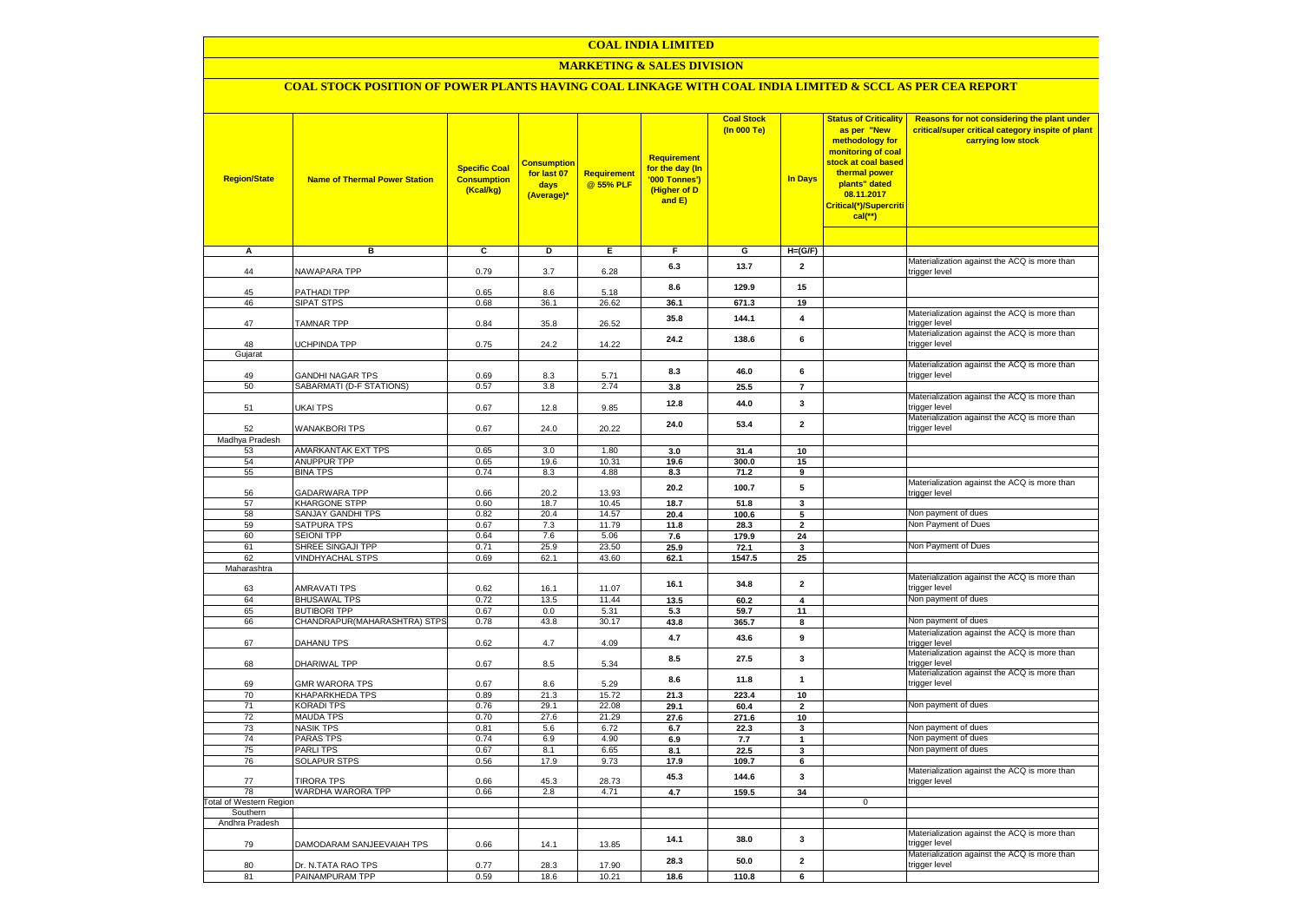# **COAL INDIA LIMITED**

# **MARKETING & SALES DIVISION**

# **COAL STOCK POSITION OF POWER PLANTS HAVING COAL LINKAGE WITH COAL INDIA LIMITED & SCCL AS PER CEA REPORT**

| <b>Region/State</b>                        | <b>Name of Thermal Power Station</b>         | <b>Specific Coal</b><br><b>Consumption</b><br>(Kcal/kg) | <u>Consumption</u><br>for last 07<br>days<br>(Average)* | Requirement<br>@ 55% PLF | Requirement<br>for the day (In<br>'000 Tonnes')<br>(Higher of D<br>and E) | <b>Coal Stock</b><br>(In 000 Te) | <b>In Days</b>      | <b>Status of Criticality</b><br>as per "New<br>methodology for<br>monitoring of coal<br>stock at coal based<br>thermal power<br>plants" dated<br>08.11.2017<br>Critical(*)/Supercriti<br>$cal$ (**) | Reasons for not considering the plant under<br>critical/super critical category inspite of plant<br>carrying low stock |
|--------------------------------------------|----------------------------------------------|---------------------------------------------------------|---------------------------------------------------------|--------------------------|---------------------------------------------------------------------------|----------------------------------|---------------------|-----------------------------------------------------------------------------------------------------------------------------------------------------------------------------------------------------|------------------------------------------------------------------------------------------------------------------------|
| A                                          | в                                            | c                                                       | Þ                                                       | Ε                        | $\overline{F}$                                                            | G                                | $H=(G/F)$           |                                                                                                                                                                                                     |                                                                                                                        |
| 44                                         | NAWAPARA TPP                                 | 0.79                                                    | 3.7                                                     | 6.28                     | 6.3                                                                       | 13.7                             | $\mathbf{2}$        |                                                                                                                                                                                                     | Materialization against the ACQ is more than<br>trigger level                                                          |
| 45                                         | PATHADI TPP                                  | 0.65                                                    | 8.6                                                     | 5.18                     | 8.6                                                                       | 129.9                            | 15                  |                                                                                                                                                                                                     |                                                                                                                        |
| 46                                         | <b>SIPAT STPS</b>                            | 0.68                                                    | 36.1                                                    | 26.62                    | 36.1                                                                      | 671.3                            | 19                  |                                                                                                                                                                                                     |                                                                                                                        |
| 47                                         | TAMNAR TPP                                   | 0.84                                                    | 35.8                                                    | 26.52                    | 35.8                                                                      | 144.1                            | 4                   |                                                                                                                                                                                                     | Materialization against the ACQ is more than<br>trigger level                                                          |
| 48<br>Gujarat                              | UCHPINDA TPP                                 | 0.75                                                    | 24.2                                                    | 14.22                    | 24.2                                                                      | 138.6                            | 6                   |                                                                                                                                                                                                     | Materialization against the ACQ is more than<br>trigger level                                                          |
|                                            |                                              |                                                         |                                                         |                          |                                                                           |                                  |                     |                                                                                                                                                                                                     | Materialization against the ACQ is more than                                                                           |
| 49<br>50                                   | GANDHI NAGAR TPS<br>SABARMATI (D-F STATIONS) | 0.69<br>0.57                                            | 8.3<br>3.8                                              | 5.71<br>2.74             | 8.3<br>3.8                                                                | 46.0<br>25.5                     | 6<br>$\overline{7}$ |                                                                                                                                                                                                     | trigger level                                                                                                          |
|                                            |                                              |                                                         |                                                         |                          | 12.8                                                                      | 44.0                             | 3                   |                                                                                                                                                                                                     | Materialization against the ACQ is more than                                                                           |
| 51<br>52                                   | <b>JKAI TPS</b><br><b>WANAKBORI TPS</b>      | 0.67<br>0.67                                            | 12.8<br>24.0                                            | 9.85<br>20.22            | 24.0                                                                      | 53.4                             | $\overline{2}$      |                                                                                                                                                                                                     | trigger level<br>Materialization against the ACQ is more than<br>trigger level                                         |
| Madhya Pradesh                             |                                              |                                                         |                                                         |                          |                                                                           |                                  |                     |                                                                                                                                                                                                     |                                                                                                                        |
| 53                                         | AMARKANTAK EXT TPS                           | 0.65                                                    | 3.0                                                     | 1.80                     | 3.0                                                                       | 31.4                             | 10                  |                                                                                                                                                                                                     |                                                                                                                        |
| 54                                         | <b>ANUPPUR TPP</b>                           | 0.65                                                    | 19.6                                                    | 10.31                    | 19.6                                                                      | 300.0                            | 15                  |                                                                                                                                                                                                     |                                                                                                                        |
| 55                                         | <b>BINA TPS</b>                              | 0.74                                                    | 8.3                                                     | 4.88                     | 8.3                                                                       | 71.2                             | 9                   |                                                                                                                                                                                                     |                                                                                                                        |
| 56                                         | <b>GADARWARA TPP</b>                         | 0.66                                                    | 20.2                                                    | 13.93                    | 20.2                                                                      | 100.7                            | 5                   |                                                                                                                                                                                                     | Materialization against the ACQ is more than<br>trigger level                                                          |
| 57                                         | <b>KHARGONE STPP</b>                         | 0.60                                                    | 18.7                                                    | 10.45                    | 18.7                                                                      | 51.8                             | 3                   |                                                                                                                                                                                                     | Non payment of dues                                                                                                    |
| 58                                         | <b>SANJAY GANDHI TPS</b>                     | 0.82                                                    | 20.4                                                    | 14.57<br>11.79           | 20.4                                                                      | 100.6                            | 5                   |                                                                                                                                                                                                     | Non Payment of Dues                                                                                                    |
| 59<br>60                                   | SATPURA TPS<br><b>SEIONI TPP</b>             | 0.67<br>0.64                                            | 7.3<br>7.6                                              | 5.06                     | 11.8<br>7.6                                                               | 28.3<br>179.9                    | $\mathbf{2}$<br>24  |                                                                                                                                                                                                     |                                                                                                                        |
| 61                                         | SHREE SINGAJI TPP                            | 0.71                                                    | 25.9                                                    | 23.50                    | 25.9                                                                      | 72.1                             | 3                   |                                                                                                                                                                                                     | Non Payment of Dues                                                                                                    |
| 62                                         | <b>VINDHYACHAL STPS</b>                      | 0.69                                                    | 62.1                                                    | 43.60                    | 62.1                                                                      | 1547.5                           | 25                  |                                                                                                                                                                                                     |                                                                                                                        |
| Maharashtra                                |                                              |                                                         |                                                         |                          |                                                                           |                                  |                     |                                                                                                                                                                                                     |                                                                                                                        |
| 63                                         | <b>AMRAVATI TPS</b>                          | 0.62                                                    | 16.1                                                    | 11.07                    | 16.1                                                                      | 34.8                             | $\mathbf{2}$        |                                                                                                                                                                                                     | Materialization against the ACQ is more than<br>trigger level                                                          |
| 64                                         | <b>BHUSAWAL TPS</b>                          | 0.72                                                    | 13.5                                                    | 11.44                    | 13.5                                                                      | 60.2                             | 4                   |                                                                                                                                                                                                     | Non payment of dues                                                                                                    |
| 65                                         | <b>BUTIBORI TPP</b>                          | 0.67                                                    | 0.0                                                     | 5.31                     | 5.3                                                                       | 59.7                             | 11                  |                                                                                                                                                                                                     |                                                                                                                        |
| 66                                         | CHANDRAPUR(MAHARASHTRA) STPS                 | 0.78                                                    | 43.8                                                    | 30.17                    | 43.8                                                                      | 365.7                            | 8                   |                                                                                                                                                                                                     | Non payment of dues                                                                                                    |
| 67                                         | DAHANU TPS                                   | 0.62                                                    | $4.7\,$                                                 | 4.09                     | 4.7                                                                       | 43.6                             | 9                   |                                                                                                                                                                                                     | Materialization against the ACQ is more than<br>trigger level                                                          |
| 68                                         | DHARIWAL TPP                                 | 0.67                                                    | 8.5                                                     | 5.34                     | 8.5                                                                       | 27.5                             | $\mathbf{3}$        |                                                                                                                                                                                                     | Materialization against the ACQ is more than<br>trigger level                                                          |
| 69                                         | <b>GMR WARORA TPS</b>                        | 0.67                                                    | 8.6                                                     | 5.29                     | 8.6                                                                       | 11.8                             | 1                   |                                                                                                                                                                                                     | Materialization against the ACQ is more than<br>trigger level                                                          |
| 70                                         | KHAPARKHEDA TPS                              | 0.89                                                    | 21.3                                                    | 15.72                    | 21.3                                                                      | 223.4                            | 10                  |                                                                                                                                                                                                     | Non payment of dues                                                                                                    |
| 71<br>72                                   | <b>KORADI TPS</b><br><b>MAUDA TPS</b>        | 0.76<br>0.70                                            | 29.1<br>27.6                                            | 22.08<br>21.29           | 29.1<br>27.6                                                              | 60.4<br>271.6                    | $\mathbf{2}$<br>10  |                                                                                                                                                                                                     |                                                                                                                        |
| 73                                         | <b>NASIK TPS</b>                             | 0.81                                                    | 5.6                                                     | 6.72                     | 6.7                                                                       | 22.3                             | 3                   |                                                                                                                                                                                                     | Non payment of dues                                                                                                    |
| 74                                         | PARAS TPS                                    | 0.74                                                    | 6.9                                                     | 4.90                     | 6.9                                                                       | 7.7                              | $\mathbf{1}$        |                                                                                                                                                                                                     | Non payment of dues                                                                                                    |
| 75                                         | <b>PARLITPS</b>                              | 0.67                                                    | 8.1                                                     | 6.65                     | 8.1                                                                       | 22.5                             | 3                   |                                                                                                                                                                                                     | Non payment of dues                                                                                                    |
| 76                                         | <b>SOLAPUR STPS</b>                          | 0.56                                                    | 17.9                                                    | 9.73                     | 17.9                                                                      | 109.7                            | 6                   |                                                                                                                                                                                                     |                                                                                                                        |
| 77                                         | <b>TIRORA TPS</b>                            | 0.66                                                    | 45.3                                                    | 28.73                    | 45.3                                                                      | 144.6                            | 3                   |                                                                                                                                                                                                     | Materialization against the ACQ is more than<br>trigger level                                                          |
| 78                                         | WARDHA WARORA TPP                            | 0.66                                                    | 2.8                                                     | 4.71                     | 4.7                                                                       | 159.5                            | 34                  |                                                                                                                                                                                                     |                                                                                                                        |
| <b>Total of Western Region</b><br>Southern |                                              |                                                         |                                                         |                          |                                                                           |                                  |                     | $\overline{0}$                                                                                                                                                                                      |                                                                                                                        |
| Andhra Pradesh                             |                                              |                                                         |                                                         |                          |                                                                           |                                  |                     |                                                                                                                                                                                                     |                                                                                                                        |
| 79                                         | DAMODARAM SANJEEVAIAH TPS                    | 0.66                                                    | 14.1                                                    | 13.85                    | 14.1                                                                      | 38.0                             | 3                   |                                                                                                                                                                                                     | Materialization against the ACQ is more than<br>trigger level                                                          |
| 80                                         | Dr. N.TATA RAO TPS                           | 0.77                                                    | 28.3                                                    | 17.90                    | 28.3                                                                      | 50.0                             | $\overline{2}$      |                                                                                                                                                                                                     | Materialization against the ACQ is more than<br>trigger level                                                          |
| 81                                         | PAINAMPURAM TPP                              | 0.59                                                    | 18.6                                                    | 10.21                    | 18.6                                                                      | 110.8                            | 6                   |                                                                                                                                                                                                     |                                                                                                                        |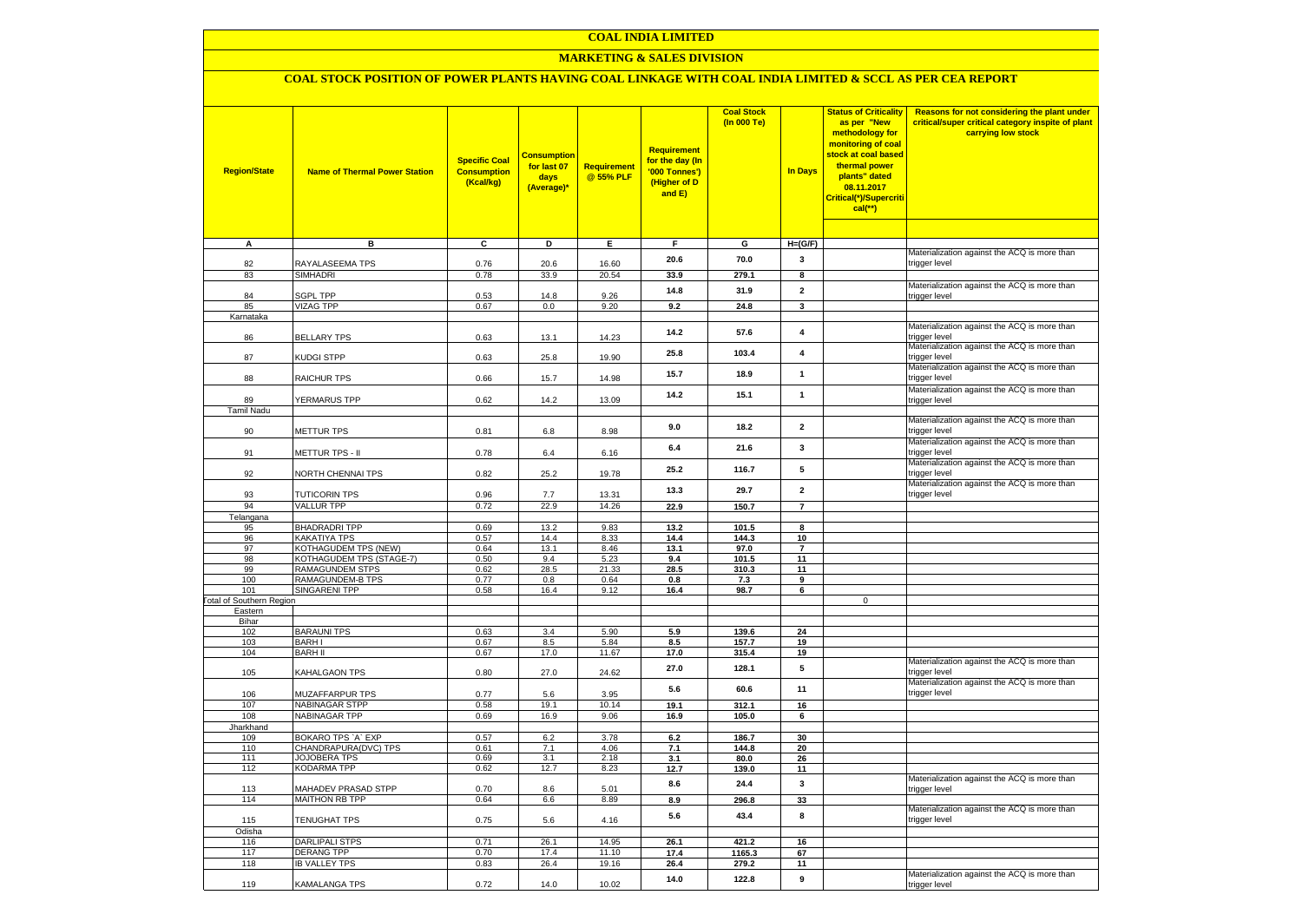# **COAL INDIA LIMITED**

# **MARKETING & SALES DIVISION**

# **COAL STOCK POSITION OF POWER PLANTS HAVING COAL LINKAGE WITH COAL INDIA LIMITED & SCCL AS PER CEA REPORT**

| <b>Region/State</b>                    | <b>Name of Thermal Power Station</b>       | <b>Specific Coal</b><br><b>Consumption</b><br>(Kcal/kg) | <b>Consumptior</b><br>for last 07<br>days<br>(Average)* | Requirement<br>@ 55% PLF | <b>Requirement</b><br>for the day (In<br>'000 Tonnes')<br>(Higher of D<br>and E) | <b>Coal Stock</b><br>(In 000 Te) | <b>In Days</b>          | <b>Status of Criticality</b><br>as per "New<br>methodology for<br>monitoring of coal<br>stock at coal based<br>thermal power<br>plants" dated<br>08.11.2017<br>Critical(*)/Supercriti<br>$cal$ (**) | Reasons for not considering the plant under<br>critical/super critical category inspite of plant<br>carrying low stock |
|----------------------------------------|--------------------------------------------|---------------------------------------------------------|---------------------------------------------------------|--------------------------|----------------------------------------------------------------------------------|----------------------------------|-------------------------|-----------------------------------------------------------------------------------------------------------------------------------------------------------------------------------------------------|------------------------------------------------------------------------------------------------------------------------|
| Α                                      | в                                          | c                                                       | D                                                       | Е.                       | F.                                                                               | G                                | $H=(G/F)$               |                                                                                                                                                                                                     |                                                                                                                        |
|                                        |                                            |                                                         |                                                         |                          | 20.6                                                                             | 70.0                             | 3                       |                                                                                                                                                                                                     | Materialization against the ACQ is more than                                                                           |
| 82                                     | RAYALASEEMA TPS                            | 0.76                                                    | 20.6                                                    | 16.60                    |                                                                                  |                                  |                         |                                                                                                                                                                                                     | trigger level                                                                                                          |
| 83                                     | <b>SIMHADRI</b>                            | 0.78                                                    | 33.9                                                    | 20.54                    | 33.9                                                                             | 279.1                            | 8                       |                                                                                                                                                                                                     |                                                                                                                        |
| 84                                     | SGPL TPP                                   | 0.53                                                    | 14.8                                                    | 9.26                     | 14.8                                                                             | 31.9                             | $\overline{2}$          |                                                                                                                                                                                                     | Materialization against the ACQ is more than<br>trigger level                                                          |
| 85                                     | <b>VIZAG TPP</b>                           | 0.67                                                    | 0.0                                                     | 9.20                     | 9.2                                                                              | 24.8                             | $\mathbf{3}$            |                                                                                                                                                                                                     |                                                                                                                        |
| Karnataka                              |                                            |                                                         |                                                         |                          |                                                                                  |                                  |                         |                                                                                                                                                                                                     |                                                                                                                        |
| 86                                     | <b>BELLARY TPS</b>                         | 0.63                                                    | 13.1                                                    | 14.23                    | 14.2                                                                             | 57.6                             | 4                       |                                                                                                                                                                                                     | Materialization against the ACQ is more than<br>trigger level                                                          |
| 87                                     | KUDGI STPP                                 | 0.63                                                    | 25.8                                                    | 19.90                    | 25.8                                                                             | 103.4                            | $\overline{\mathbf{4}}$ |                                                                                                                                                                                                     | Materialization against the ACQ is more than<br>trigger level                                                          |
| 88                                     | RAICHUR TPS                                | 0.66                                                    | 15.7                                                    | 14.98                    | 15.7                                                                             | 18.9                             | $\mathbf{1}$            |                                                                                                                                                                                                     | Materialization against the ACQ is more than<br>trigger level                                                          |
|                                        |                                            |                                                         |                                                         |                          | 14.2                                                                             | 15.1                             | $\mathbf{1}$            |                                                                                                                                                                                                     | Materialization against the ACQ is more than                                                                           |
| 89                                     | YERMARUS TPP                               | 0.62                                                    | 14.2                                                    | 13.09                    |                                                                                  |                                  |                         |                                                                                                                                                                                                     | trigger level                                                                                                          |
| <b>Tamil Nadu</b>                      |                                            |                                                         |                                                         |                          |                                                                                  |                                  |                         |                                                                                                                                                                                                     | Materialization against the ACQ is more than                                                                           |
| 90                                     | <b>METTUR TPS</b>                          | 0.81                                                    | 6.8                                                     | 8.98                     | 9.0                                                                              | 18.2                             | $\overline{\mathbf{2}}$ |                                                                                                                                                                                                     | trigger level                                                                                                          |
| 91                                     | METTUR TPS - II                            | 0.78                                                    | 6.4                                                     | 6.16                     | 6.4                                                                              | 21.6                             | 3                       |                                                                                                                                                                                                     | Materialization against the ACQ is more than<br>trigger level                                                          |
|                                        |                                            |                                                         |                                                         |                          |                                                                                  |                                  |                         |                                                                                                                                                                                                     | Materialization against the ACQ is more than                                                                           |
| 92                                     | NORTH CHENNAI TPS                          | 0.82                                                    | 25.2                                                    | 19.78                    | 25.2                                                                             | 116.7                            | 5                       |                                                                                                                                                                                                     | trigger level<br>Materialization against the ACQ is more than                                                          |
| 93                                     | <b>TUTICORIN TPS</b>                       | 0.96                                                    | 7.7                                                     | 13.31                    | 13.3                                                                             | 29.7                             | $\overline{2}$          |                                                                                                                                                                                                     | trigger level                                                                                                          |
| 94                                     | <b>VALLUR TPP</b>                          | 0.72                                                    | 22.9                                                    | 14.26                    | 22.9                                                                             | 150.7                            | $\overline{7}$          |                                                                                                                                                                                                     |                                                                                                                        |
| Telangana<br>95                        | <b>BHADRADRI TPP</b>                       | 0.69                                                    | 13.2                                                    | 9.83                     | 13.2                                                                             | 101.5                            | 8                       |                                                                                                                                                                                                     |                                                                                                                        |
| 96                                     | KAKATIYA TPS                               | 0.57                                                    | 14.4                                                    | 8.33                     | 14.4                                                                             | 144.3                            | 10                      |                                                                                                                                                                                                     |                                                                                                                        |
| 97                                     | KOTHAGUDEM TPS (NEW)                       | 0.64                                                    | 13.1                                                    | 8.46                     | 13.1                                                                             | 97.0                             | $\overline{7}$          |                                                                                                                                                                                                     |                                                                                                                        |
| 98                                     | KOTHAGUDEM TPS (STAGE-7)                   | 0.50                                                    | 9.4                                                     | 5.23                     | 9.4                                                                              | 101.5                            | 11                      |                                                                                                                                                                                                     |                                                                                                                        |
| 99                                     | RAMAGUNDEM STPS                            | 0.62                                                    | 28.5                                                    | 21.33                    | 28.5                                                                             | 310.3                            | 11                      |                                                                                                                                                                                                     |                                                                                                                        |
| 100                                    | <b>RAMAGUNDEM-B TPS</b>                    | 0.77                                                    | 0.8                                                     | 0.64                     | 0.8                                                                              | 7.3                              | 9                       |                                                                                                                                                                                                     |                                                                                                                        |
| 101<br><b>Total of Southern Region</b> | <b>SINGARENI TPP</b>                       | 0.58                                                    | 16.4                                                    | 9.12                     | 16.4                                                                             | 98.7                             | 6                       | $\mathbf 0$                                                                                                                                                                                         |                                                                                                                        |
| Eastern                                |                                            |                                                         |                                                         |                          |                                                                                  |                                  |                         |                                                                                                                                                                                                     |                                                                                                                        |
| Bihar                                  |                                            |                                                         |                                                         |                          |                                                                                  |                                  |                         |                                                                                                                                                                                                     |                                                                                                                        |
| 102                                    | <b>BARAUNI TPS</b>                         | 0.63                                                    | 3.4                                                     | 5.90                     | 5.9                                                                              | 139.6                            | 24                      |                                                                                                                                                                                                     |                                                                                                                        |
| 103                                    | <b>BARHI</b><br><b>BARH II</b>             | 0.67                                                    | 8.5                                                     | 5.84                     | 8.5                                                                              | 157.7                            | 19                      |                                                                                                                                                                                                     |                                                                                                                        |
| 104                                    |                                            | 0.67                                                    | 17.0                                                    | 11.67                    | 17.0                                                                             | 315.4                            | 19                      |                                                                                                                                                                                                     | Materialization against the ACQ is more than                                                                           |
| 105                                    | KAHALGAON TPS                              | 0.80                                                    | 27.0                                                    | 24.62                    | 27.0                                                                             | 128.1                            | ${\bf 5}$               |                                                                                                                                                                                                     | trigger level<br>Materialization against the ACQ is more than                                                          |
| 106                                    | MUZAFFARPUR TPS                            | 0.77                                                    | 5.6                                                     | 3.95                     | 5.6                                                                              | 60.6                             | 11                      |                                                                                                                                                                                                     | trigger level                                                                                                          |
| 107<br>108                             | <b>NABINAGAR STPP</b><br>NABINAGAR TPP     | 0.58<br>0.69                                            | 19.1<br>16.9                                            | 10.14<br>9.06            | 19.1<br>16.9                                                                     | 312.1<br>105.0                   | 16<br>6                 |                                                                                                                                                                                                     |                                                                                                                        |
| Jharkhand                              |                                            |                                                         |                                                         |                          |                                                                                  |                                  |                         |                                                                                                                                                                                                     |                                                                                                                        |
| 109                                    | BOKARO TPS `A` EXP                         | 0.57                                                    | 6.2                                                     | 3.78                     | 6.2                                                                              | 186.7                            | 30                      |                                                                                                                                                                                                     |                                                                                                                        |
| 110                                    | CHANDRAPURA(DVC) TPS                       | 0.61                                                    | 7.1                                                     | 4.06                     | 7.1                                                                              | 144.8                            | 20                      |                                                                                                                                                                                                     |                                                                                                                        |
| 111                                    | <b>JOJOBERA TPS</b>                        | 0.69                                                    | 3.1                                                     | 2.18                     | 3.1                                                                              | 80.0                             | 26                      |                                                                                                                                                                                                     |                                                                                                                        |
| 112                                    | <b>KODARMA TPP</b>                         | 0.62                                                    | 12.7                                                    | 8.23                     | 12.7                                                                             | 139.0                            | 11                      |                                                                                                                                                                                                     |                                                                                                                        |
| 113                                    | MAHADEV PRASAD STPP                        | 0.70                                                    | 8.6                                                     | 5.01                     | 8.6                                                                              | 24.4                             | $\mathbf{3}$            |                                                                                                                                                                                                     | Materialization against the ACQ is more than<br>trigger level                                                          |
| 114                                    | <b>MAITHON RB TPP</b>                      | 0.64                                                    | 6.6                                                     | 8.89                     | 8.9                                                                              | 296.8                            | 33                      |                                                                                                                                                                                                     |                                                                                                                        |
| 115                                    | TENUGHAT TPS                               | 0.75                                                    | 5.6                                                     | 4.16                     | 5.6                                                                              | 43.4                             | 8                       |                                                                                                                                                                                                     | Materialization against the ACQ is more than<br>trigger level                                                          |
| Odisha                                 |                                            | 0.71                                                    |                                                         | 14.95                    |                                                                                  | 421.2                            | 16                      |                                                                                                                                                                                                     |                                                                                                                        |
| 116<br>117                             | <b>DARLIPALI STPS</b><br><b>DERANG TPP</b> | 0.70                                                    | 26.1<br>17.4                                            | 11.10                    | 26.1<br>17.4                                                                     | 1165.3                           | 67                      |                                                                                                                                                                                                     |                                                                                                                        |
| 118                                    | <b>IB VALLEY TPS</b>                       | 0.83                                                    | 26.4                                                    | 19.16                    | 26.4                                                                             | 279.2                            | 11                      |                                                                                                                                                                                                     |                                                                                                                        |
|                                        |                                            |                                                         | 14.0                                                    | 10.02                    | 14.0                                                                             | 122.8                            | 9                       |                                                                                                                                                                                                     | Materialization against the ACQ is more than                                                                           |
| 119                                    | <b>KAMALANGA TPS</b>                       | 0.72                                                    |                                                         |                          |                                                                                  |                                  |                         |                                                                                                                                                                                                     | trigger level                                                                                                          |